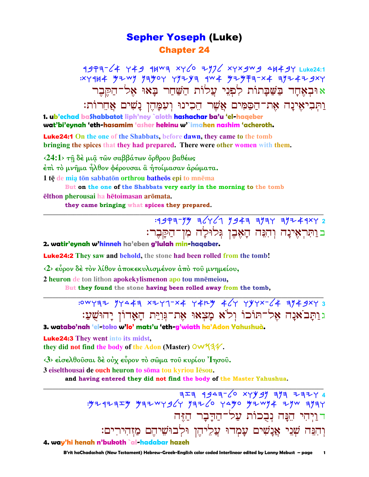## **Sepher Yoseph (Luke) Chapter 24**

1977-64 749 14W3 xy60 2776 xyx9W9 4449Y Luke24:1 אוּבִאָחָד בַשַּׁבָתוֹת לִפְגֵי עֲלוֹת הַשַּׁחַר בָּאוּ אָל־הַקֵּבֵר ותּבִיאִינַה אַת־הַסֲמִים אַשֵׁר הֵכִינוּ ועִמַּהֵן נַשִׁים אֲחֵרוֹת:

1. ub'echad baShabbatot liph'ney `aloth hashachar ba'u 'el-haqeber wat'bi'eynah 'eth-hasamim 'asher hekinu w'`imahen nashim 'acheroth.

**Luke24:1** On the one of the Shabbats, before dawn, they came to the tomb bringing the spices that they had prepared. There were other women with them.

 $\langle 24:1 \rangle$  τη δέ μια των σαββάτων ὄρθρου βαθέως έπι το μνήμα ήλθον φέρουσαι ἃ ήτοίμασαν άρώματα. 1 tē de mią tōn sabbatōn orthrou batheōs epi to mnēma

But on the one of the Shabbats very early in the morning to the tomb elthon pherousai ha hetoimasan arōmata.

they came bringing what spices they prepared.

 $14997 - 79$   $3/7/1943$   $3977$   $39743$ בוּתִּרְאֵינָה וְהִנֵּה הַאָּבֶן גִּלוּלַה מְן־הַקַּבֵר:

2. watir'eynah w'hinneh ha'eben g'lulah min-haqaber.

**Luke24:2** They saw and behold, the stone had been rolled from the tomb!

<2> εύρον δέ τον λίθον άποκεκυλισμένον άπό του μνημείου,

2 heuron de ton lithon apokekylismenon apo tou mnēmeiou,

But they found the stone having been rolled away from the tomb,

:0WYA7 YY44A XZY7-X4 Y4LY 4(Y YYYX-(4 AY49XY 3 גוַתַּבֹאֲנָה אֱל־תּוֹכוֹ וְלֹא מַצְאוּ אֶת־גִּוְיַּת הַאֲדוֹן יַהוּשִׁעֲ:

3. watabo'nah 'el-toko w'lo' mats'u 'eth-g'wiath ha'Adon Yahushuà.

**Luke24:3** They went into its midst. they did not find the body of the Adon (Master) Ow 13V.

<3> είσελθούσαι δέ ούχ εύρον τό σώμα του κυρίου 'Iησου.

3 eiselthousai de ouch heuron to soma tou kyriou Iesou.

and having entered they did not find the body of the Master Yahushua.

 $777$   $4947$   $(0 \times 499)$   $719$   $717$   $4$ רוַיִהִי הֶנָּה נִבְכוֹת עַל־הַדָּבָר הַזֶּה וְהִבֶּה שָׁנֵי אֲנַשִׁים עַמְדוּ עֲלֵיהֵן וּלְבוּשִׁיהֵם מַזְהִירִים: 4. way'hi henah n'bukoth `al-hadabar hazeh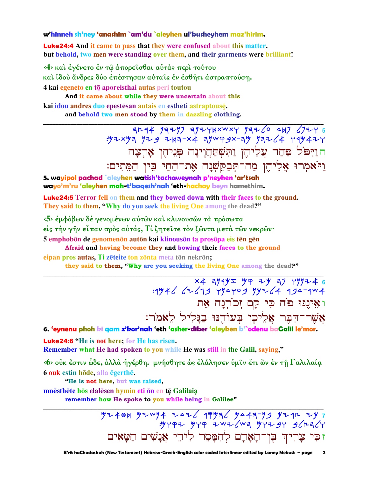### w'hinneh sh'ney 'anashim `am'du `aleyhen ul'busheyhem maz'hirim.

**Luke24:4** And it came to pass that they were confused about this matter, but behold, two men were standing over them, and their garments were brilliant!

(4) και έγένετο έν τω απορείσθαι αυτάς περι τούτου και ίδου άνδρες δύο έπέστησαν αύταις έν έσθητι άστραπτούση. 4 kai egeneto en tō aporeisthai autas peri toutou

And it came about while they were uncertain about this kai idou andres duo epestēsan autais en esthēti astraptousē. and behold two men stood by them in dazzling clothing.

> $7744$   $7777$   $7774$   $7747$   $7776$   $9776$   $1777$   $1777$   $1777$   $1777$   $1777$   $1777$   $1777$   $1777$ : 142x4 129 243-x4 31wpgx-34 13264 794427 הוַיִּפֹּל פַּחַד עֲלֵיהֵן וַתְּשִׁתַּחֲוֶינַה פִּנִיהֵן אַרְצַה וַיֹּאמְרוּ אֲלֵיהֵן מַה־תִּבְקֵשְׁנָה אֶת־הַחַי בִּין הַמֵּתִים:

5. wayipol pachad `aleyhen watish'tachaweynah p'neyhen 'ar'tsah wayo'm'ru 'aleyhen mah-t'bagesh'nah 'eth-hachay beyn hamethim.

**Luke24:5** Terror fell on them and they bowed down with their faces to the ground. They said to them. "Why do you seek the living One among the dead?"

<5> εμφόβων δε γενομένων αύτων και κλινουσών τα πρόσωπα είς την γην είπαν πρός αύτάς, Τί ζητείτε τον ζώντα μετά τών νεκρών· 5 emphobon de genomenon auton kai klinouson ta prosopa eis ten gen

Afraid and having become they and bowing their faces to the ground

eipan pros autas. Ti zēteite ton zonta meta ton nekron; they said to them, "Why are you seeking the living One among the dead?"

> ואיננו פה כי קם זכונה את אֲשֶׁר־הִבֶּר אֱלֵיכֶן בִּעוֹדֶנּוּ בַנֵּלִיל לֵאמֹר:

6. 'eynenu phoh ki gam z'kor'nah 'eth 'asher-diber 'aleyken b'`odenu baGalil le'mor.

**Luke24:6** "He is not here; for He has risen. **Remember what He had spoken to you while He was still in the Galil, saying,"** 

<6> οὐκ ἔστιν ὧδε, ἀλλὰ ἠγέρθη. μνήσθητε ὡς ἐλάλησεν ὑμῖν ἔτι ὢν ἐν τῆ Γαλιλαία 6 ouk estin hode, alla egerthe.

"He is not here, but was raised,

mnesthete hos elalesen hymin eti on en te Galilaia

remember how He spoke to you while being in Galilee"

\* 47 - 47 241 241 242 147 242 244 244 244 344 344<br>3/2 3/4 24 344 244 244 244 344 344 זכִּי צְרִיךְ בֶּן־הָאָדָם לְהִמָּסֵר לִידֵי אֲנַשִׁים חַטַּאִים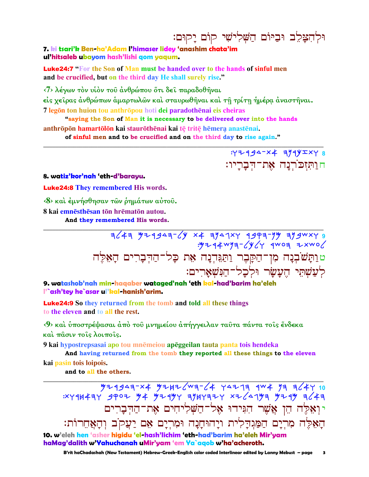## וּלְהִצָּלֵב וּבַיּוֹם הַשָּׁלְיֹשִׁי קוֹם יָקוּם:

: $4444 - x4 = 144$ 

חותזכורנה את־דִּבַרֵיו:

### 7, ki tsari'k Ben-ha'Adam l'himaser lidey 'anashim chata'im ul'hitsaleb ubayom hash'lishi qom yaqum.

**Luke24:7** "For the Son of Man must be handed over to the hands of sinful men and be crucified, but on the third day He shall surely rise."

<7> λέγων τον υίον του ανθρώπου ότι δει παραδοθήναι

είς χείρας άνθρώπων άμαρτωλών και σταυρωθήναι και τη τρίτη ήμέρα άναστήναι.

7 legon ton huion tou anthropou hoti dei paradothenai eis cheiras

"saying the Son of Man it is necessary to be delivered over into the hands anthrōpōn hamartōlōn kai staurōthēnai kai tē tritē hēmera anastēnai.

of sinful men and to be crucified and on the third day to rise again."

8. watiz'kor'nah 'eth-d'barayu.

**Luke24:8 They remembered His words.** 

<8> και έμνήσθησαν των ρημάτων αύτου. 8 kai emnēsthēsan tōn hrēmatōn autou. And they remembered His words.

> טותַשֹׁבְנָה מִן־הַקַּבְר וַתַּגְּדְנָה אֶת כָּל־הַדְּבָרִים הַאָּלֶה לְעַשְׁתֵּי הֵעֲשֵׂר וּלְכָל־הַנִּשָׁאֲרִים:

9. watashob'nah min-haqaber wataged'nah 'eth kal-had'barim ha'eleh l'`ash'tey he`asar ul'kal-hanish'arim.

**Luke24:9** So they returned from the tomb and told all these things to the eleven and to all the rest.

<9> και υποστρέψασαι άπο του μνημείου απήγγειλαν ταυτα πάντα τοις ένδεκα και πάσιν τοις λοιποις.

9 kai hypostrepsasai apo tou mnēmeiou apēggeilan tauta panta tois hendeka

And having returned from the tomb they reported all these things to the eleven kai pasin tois loipois.

and to all the others.

 $444443-x4$   $4442$   $x^2-24$   $x^2-24$   $x^2-1$   $x^2-1$   $x^2-1$ :XY9H43Y 9P07 44 97444Y 31HY37Y X76143 4744 3643 י וְאָלֵה הֵן אֲשֶׁר הִגִּידוּ אָל־הַשָּׁלִיחִים אָת־הַדִּבָרִים הַאָּלֶה מִרְיָם הַמַּגְדַלְית ויַהוּחָנָה וּמִרְיָם אֵם יַעֲקֹב וְהָאֲחֵרוֹת: 10. w'eleh hen 'asher higidu 'el-hash'lichim 'eth-had'barim ha'eleh Mir'vam haMag'dalith w'Yahuchanah uMir'yam 'em Ya`aqob w'ha'acheroth.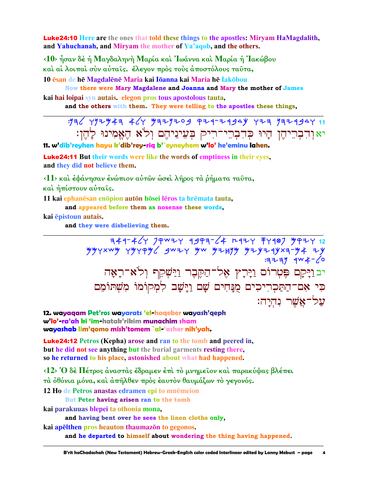**Luke24:10** Here are the ones that told these things to the apostles: Miryam HaMagdalith, and Yahuchanah, and Miryam the mother of Ya'aqob, and the others.

<10> ήσαν δέ ή Μαγδαληνή Μαρία και 'Ιωάννα και Μαρία ή 'Ιακώβου και αί λοιπαι σύν αύταις. «λεγον πρός τους άποστόλους ταυτα,

10 esan de he Magdalene Maria kai Ioanna kai Maria he Iakobou

Now there were Mary Magdalene and Joanna and Mary the mother of James kai hai loipai syn autais, elegon pros tous apostolous tauta,

and the others with them. They were telling to the apostles these things,

## $392$   $797947$   $467$   $9979709$   $97977999$   $779$   $9197999$ יאוְדִבְרֵיהֶן הָיוּ כְּדִבְרֵי־רִיק בִּעֵינֵיהֵם וִלֹא הֵאֵמִינוּ לַהֵן:

11. w'dib'reyhen hayu k'dib'rey-riq b'`eyneyhem w'lo' he'eminu lahen.

**Luke24:11** But their words were like the words of emptiness in their eves, and they did not believe them.

<11> και έφάνησαν ένώπιον αύτων ώσει λήρος τα ρήματα ταύτα,

και ήπίστουν αυταίς.

11 kai ephanēsan enōpion autōn hōsei lēros ta hrēmata tauta, and appeared before them as nosense these words.

kai epistoun autais.

and they were disbelieving them.

744-467 1944-467 1944-1467 1944-12<br>۳۳+۶۳ 1947-94×94 1944 344 1944 1944 1944 1944  $:377$   $4W4-\sqrt{0}$ יבוַיָּקָם פֶּטְרוֹס וַיָּרָץ אֶל־הַקֶּבֶר וַיַּשְׁקֵף וְלֹא־רָאָה כִּי אָם־הַתַּכְרִיכִים מֻנָּחִים שָׁם וַיָּשָׁב לִמְקוֹמוֹ מִשִׁתּוֹמֵם עַל־אֲשֶׁר נְחָיַה:

12. wavaaam Pet'ros wavarats 'el-haaeber wavash'aeph w'lo'-ra'ah ki 'im-hatak'rikim munachim sham wayashab lim'qomo mish'tomem `al-'asher nih'yah.

**Luke24:12** Petros (Kepha) arose and ran to the tomb and peered in, but he did not see anything but the burial garments resting there. so he returned to his place, astonished about what had happened.

 $\langle 12 \rangle$  Ό δέ Πέτρος άναστάς έδραμεν έπι το μνημείον και παρακύψας βλέπει τά όθόνια μόνα, και άπήλθεν πρός έαυτον θαυμάζων το γεγονός.

12 Ho de Petros anastas edramen epi to mnēmeion

But Peter having arisen ran to the tomb

kai parakuuas blepei ta othonia mona,

and having bent over he sees the linen cloths only,

kai apelthen pros heauton thaumazon to gegonos.

and he departed to himself about wondering the thing having happened.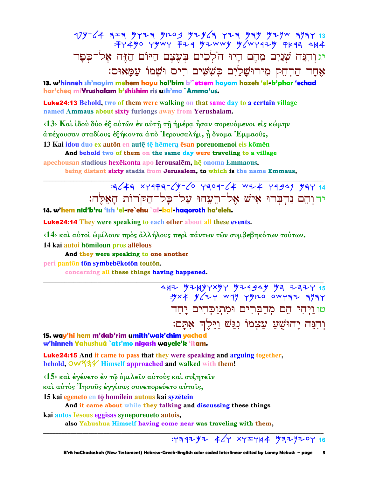יג וְהִנֵּה שְׁנַיִם מֵהֶם הָיוּ הֹלְכִים בְעָצֶם הַיּוֹם הַזֶּה אֶל־כִּפָר אֶחַד הַרְחֶק מִירוּשַׁלַיָם כִּשְׁשִׁים רִיס וּשָׁמוֹ עַמַּאוּס:

13. w'hinneh sh'nayim mehem hayu hol'kim b'`etsem hayom hazeh 'el-k'phar 'echad har'cheq miYrushalam k'shishim ris ush'mo `Amma'us.

**Luke24:13** Behold, two of them were walking on that same day to a certain village named Ammaus about sixty furlongs away from Yerushalam.

<13> Και ίδου δύο έξ αύτων έν αύτη τη ήμέρα ήσαν πορευόμενοι είς κώμην άπέχουσαν σταδίους εξήκοντα άπό Ίερουσαλήμ, η όνομα Έμμαους,

13 Kai idou duo ex auton en aute te hemera esan poreuomenoi eis komen And behold two of them on the same day were traveling to a village

apechousan stadious hexekonta apo Ierousalem, he onoma Emmaous, being distant sixty stadia from Jerusalem, to which is the name Emmaus,

> : 3643 xy 193-64 y 301-64 w 24 y 1941 14 ידוְהֵם נִדְבְּרוּ אִישׁ אֶל־רֵעֵהוּ עַל־כָל־הַקֹּרוֹת הַאֵּלֵה:

14. w'hem nid'b'ru 'ish 'el-re`ehu `al-kal-haqoroth ha'eleh.

**Luke24:14** They were speaking to each other about all these events.

<14> και αύτοι ώμίλουν πρός άλλήλους περι πάντων των συμβεβηκότων τούτων. 14 kai autoi hōmiloun pros allēlous

And they were speaking to one another peri pantōn tōn symbebēkotōn toutōn. concerning all these things having happened.

> טוּוַיִהִי הֶם מְּדַבְּרִים וּמְתְוַכִּחִים יָחֲד וְהִבֶּה יַהוּשִׁעַ עַצְמוֹ נְבַּשׁ וַיֵּלֵה**ְ אִ**תַּם:

15. way'hi hem m'dab'rim umith'wak'chim yachad w'hinneh Yahushuà `ats'mo nigash wayele'k 'itam.

**Luke24:15** And it came to pass that they were speaking and arguing together, behold, OW534 Himself approached and walked with them!

<15> και έγένετο έν τω δμιλεΐν αύτους και συζητεΐν

και αύτος Ίησους έγγίσας συνεπορεύετο αύτοις,

15 kai egeneto en tō homilein autous kai syzētein

And it came about while they talking and discussing these things

kai autos lēsous eggisas syneporeueto autois,

also Yahushua Himself having come near was traveling with them,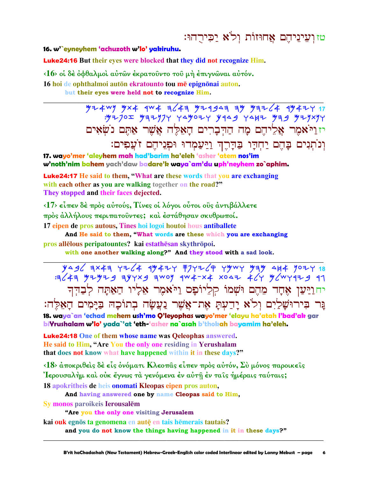טזוַעִינֵיהֶם אֲחוּזוֹת וְלֹא יַכִּירְהוּ:

16. w'eyneyhem 'achuzoth w'lo' yakiruhu.

**Luke24:16** But their eyes were blocked that they did not recognize Him.

<16> οι δέ όφθαλμοί αύτων έκρατούντο του μή έπιγνωναι αύτόν.

16 hoi de ophthalmoi auton ekratounto tou me epignonai auton.

but their eyes were held not to recognize Him.

 $.972702$   $.99777$   $.9907$   $.9999$   $.9947$   $.9979$   $.997$ יזויאמר אַלִיהֵם מַה הַדִּבְרִים הַאָּלֶה אֲשֶׁר אַתֵּם נֹשָׂאִים וְנוֹתְנִים בַּהֵם יַחְדַּו בַּדְרֶךְ וַיַּעֲמְדוּ וּפְנֵיהֶם זֹעֲפִים:

17. wayo'mer 'aleyhem mah had'barim ha'eleh 'asher 'atem nos'im w'noth'nim bahem yach'daw badare'k waya`am'du uph'neyhem zo`aphim.

**Luke24:17** He said to them, "What are these words that you are exchanging with each other as you are walking together on the road?" They stopped and their faces dejected.

<17> είπεν δέ πρός αύτούς, Τίνες οι λόγοι ούτοι ούς άντιβάλλετε πρός άλλήλους περιπατούντες; και έστάθησαν σκυθρωποί. 17 eipen de pros autous. Tines hoi logoi houtoi hous antiballete

And He said to them, "What words are these which you are exchanging pros allēlous peripatountes? kai estathēsan skythrōpoi.

with one another walking along?" And they stood with a sad look.

 $y \triangle 96$  =  $x \triangle 4$  +  $y \triangle 4$  +  $y \triangle 4$  +  $y \triangle 7$  +  $y \triangle 7$  +  $y \triangle 7$  +  $y \triangle 7$  +  $y \triangle 7$  +  $y \triangle 7$  +  $y \triangle 7$  +  $y \triangle 7$  +  $y \triangle 7$  +  $y \triangle 7$  +  $y \triangle 7$  +  $y \triangle 7$  +  $y \triangle 7$  +  $y \triangle 7$  +  $y \triangle 7$  +  $y \triangle 7$  +  $y \triangle 7$  +  $y \triangle 7$  + יחוַיַּעַן אָחָד מֶהֶם וּשָׁמוֹ קִלִיוֹפָס וַיֹּאמֶר אָלָיו הַאַתָּה לְבַדִּךְ ַּנֵּר בִּירוּשַׁלַיִם וְלֹא יַדְעָתַּ אֶת־אֲשֶׁר נַעֲשָׂה בְתוֹכָהּ בַיַּמִים הַאָּלֶה:

18. waya`an 'echad mehem ush'mo O'leyophas wayo'mer 'elayu ha'atah l'bad'ak gar biYrushalam w'lo' yada`'at 'eth-'asher na`asah b'thokah bayamim ha'eleh.

**Luke24:18** One of them whose name was Oeleophas answered. He said to Him, "Are You the only one residing in Yerushalam that does not know what have happened within it in these days?"

 $(18)$  αποκριθείς δέ είς ονόματι Κλεοπας είπεν πρός αυτόν, Σύ μόνος παροικείς 'Iερουσαλήμ καὶ οὐκ ἔγνως τὰ γενόμενα ἐν αὐτῆ ἐν ταῖς ἡμέραις ταύταις;

18 apokritheis de heis onomati Kleopas eipen pros auton,

And having answered one by name Cleopas said to Him,

Sv monos paroikeis Ierousalēm

"Are you the only one visiting Jerusalem

kai ouk egnōs ta genomena en autē en tais hēmerais tautais?

and you do not know the things having happened in it in these days?"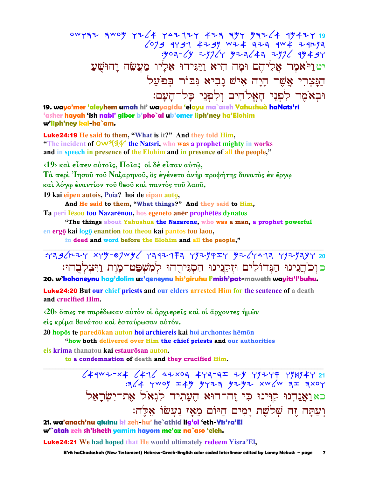owyaz awoy yz (4 yaz 12 + 22 ayy yaz (4 1942 19  $693$  1791 4299 w24 727 1w4 21297  $:$   $y$ oa- $(y + 1)/2$   $y + 1/4$   $y + 1/2$   $y + 1/4$ יט וַיֹּאמֶר אַלִיהֶם וּמַה הִיא וַיַּגִּידוּ אַלַיו מַעֲשֶׂה יַהוּשָׁעַ הַנַּצִרִי אֱשֶׁר הַיַּה אָישׁ נַבִיא גִּבּוֹר בִּפֹעַל וּבאֹמֵר לִפְנִי הַאָלֹהִים ולִפְנֵי כַּל<sup>ְ–</sup>הַעַם:

**19. wayo'mer 'aleyhem umah hi' wayagidu 'elayu ma`aseh Yahushuà haNats'ri 'asher hayah 'ish nabi' gibor b'pho`al ub'omer liph'ney ha'Elohim w'liph'ney kal-ha`am.**

Luke24:19 **He said to them, "What is it?" And they told Him,**  "The incident of  $\text{OW73}\%$  the Natsri, who was a prophet mighty in works **and in speech in presence of the Elohim and in presence of all the people,"** 

**‹19› καὶ εἶπεν αὐτοῖς, Ποῖα; οἱ δὲ εἶπαν αὐτῷ,** 

**Τὰ περὶ Ἰησοῦ τοῦ Ναζαρηνοῦ, ὃς ἐγένετο ἀνὴρ προφήτης δυνατὸς ἐν ἔργῳ καὶ λόγῳ ἐναντίον τοῦ θεοῦ καὶ παντὸς τοῦ λαοῦ,** 

19 kai eipen autois, Poia? hoi de eipan autō,

**And He said to them, "What things?" And they said to Him,**

**Ta peri Iesou tou Nazarenou, hos egeneto aner prophetes dynatos** 

**"The things about Yahushua the Nazarene, who was a man, a prophet powerful en ergō** kai logō enantion **tou theou kai pantos tou laou**,

 **in deed and word before the Elohim and all the people,"** 

**\_\_\_\_\_\_\_\_\_\_\_\_\_\_\_\_\_\_\_\_\_\_\_\_\_\_\_\_\_\_\_\_\_\_\_\_\_\_\_\_\_\_\_\_\_\_\_\_\_\_\_\_\_\_\_\_\_\_\_\_\_\_\_\_\_\_\_\_\_\_\_\_\_\_\_\_\_\_\_\_\_\_\_\_\_\_\_\_\_\_\_\_\_** :whbleyw twm-fpcml whrygsh wnynqzw Mylwdgh wnynhkw **20**  כוכֹהֲנֵינוּ הַגָּדוֹלִים וּזָקֵנִינוּ הִסְגִּירֻהוּ לִמְשָׁפַּט־מָוֵת וַיִּצִלְבְהוּ:

**20. w'kohaneynu hag'dolim uz'qeneynu his'giruhu l'mish'pat-maweth wayits'l'buhu.**

Luke24:20 **But our chief priests and our elders arrested Him for the sentence of a death and crucified Him.** 

**\_\_\_\_\_\_\_\_\_\_\_\_\_\_\_\_\_\_\_\_\_\_\_\_\_\_\_\_\_\_\_\_\_\_\_\_\_\_\_\_\_\_\_\_\_\_\_\_\_\_\_\_\_\_\_\_\_\_\_\_\_\_\_\_\_\_\_\_\_\_\_\_\_\_\_\_\_\_\_\_\_\_\_\_\_\_\_\_\_\_\_\_\_**

**‹20› ὅπως τε παρέδωκαν αὐτὸν οἱ ἀρχιερεῖς καὶ οἱ ἄρχοντες ἡµῶν εἰς κρίµα θανάτου καὶ ἐσταύρωσαν αὐτόν.** 

**20 hopōs te paredōkan auton hoi archiereis kai hoi archontes hēmōn** 

**"how both delivered over Him the chief priests and our authorities eis krima** thanatou kai estaurosan auton.

**to a condemnation of death and they crucified Him.** 

 larcy-ta lagl dytoh awh-hz yk wnywq wnjnaw **21**   $:14$  ywoy  $x+y$  yyza yzya xw/w  $12$  axoy כאוַאֲנַחְנוּ קִוּינוּ כִּי זֶה־הוּא הֶעָתִיד לִגְאֹל אָת־יִשְׂרָאָל וִ עַתַּה זֶה שָׁלֹשֶׁת יַמִים הַיּּוֹם מֵאֵז נַעֲשׂוֹ אֶלֶה:

**21. wa'anach'nu qiuinu ki zeh-hu' he`athid lig'ol 'eth-Yis'ra'El w'`atah zeh sh'lsheth yamim hayom me'az na`aso 'eleh.**

Luke24:21 **We had hoped that He would ultimately redeem Yisra'El,**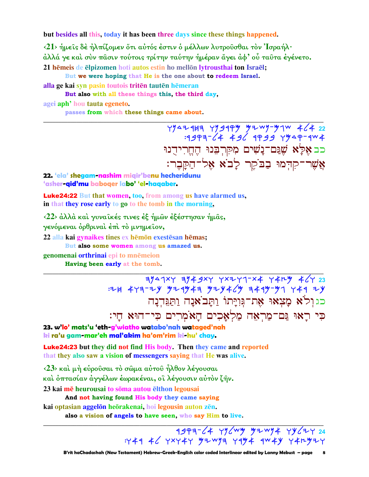but besides all this, today it has been three days since these things happened.

 $\langle 21 \rangle$  ήμεις δέ ήλπίζομεν ότι αύτός έστιν ο μέλλων λυτρουσθαι τον Ίσραήλ· άλλά γε και σύν πασιν τούτοις τρίτην ταύτην ήμέραν άγει άφ' ού ταυτα έγένετο. 21 hemeis de elpizomen hoti autos estin ho mellon lytrousthai ton Israel; But we were hoping that He is the one about to redeem Israel.

alla ge kai syn pasin toutois tritēn tautēn hēmeran

But also with all these things this, the third day,

agei aph' hou tauta egeneto.

passes from which these things came about.

כב אֵכֵּא שֶׁגֲם־נַשִׁים מִקְרְבֵּנוּ הֶחֱרִידְנוּ אֲשֵׁר־קִדְמוּ בַבֹקֵר לָבֹא אָל־הַקָּבֵר:

22. 'ela' shegam-nashim miqir'benu hecheridunu 'asher-gid'mu baboger labo' 'el-hagaber.

**Luke24:22** But that women, too, from among us have alarmed us, in that they rose early to go to the tomb in the morning,

 $\langle 22 \rangle$  άλλά και γυναίκές τινες έξ ήμων εξέστησαν ήμας. γενόμεναι όρθριναι έπι το μνημείον,

22 alla kai gynaikes tines ex hēmōn exestēsan hēmas; But also some women among us amazed us.

genomenai orthrinai epi to mnēmeion

Having been early at the tomb.

 $7/3$   $4/4$   $7/4$   $4/4$   $4/4$   $4/4$   $4/4$   $4/4$   $4/4$   $4/4$   $4/4$   $4/4$   $4/4$   $4/4$   $4/4$   $4/4$   $4/4$   $4/4$   $4/4$   $4/4$   $4/4$   $4/4$   $4/4$   $4/4$   $4/4$   $4/4$   $4/4$   $4/4$   $4/4$   $4/4$   $4/4$   $4/4$   $4/4$   $4/4$   $4/4$   $4/4$   $4/4$  $774$   $473 - 79$   $974$  $443$   $9794$  $49$   $349 - 91$   $141$   $74$ כגולא מצאו את־גּוַיַּתוֹ וַתַּבֹאנַה וַתַּגְּדְנַה כִּי רַאוּ גַּם־מַרְאָה מַלְאָכִים הָאֹמְרִים כִּי־הוּא חָי:

23. w'<mark>lo' mats'u 'eth-g'wiatho watabo'nah wataged'nah</mark> ki ra'u gam-mar'eh mal'akim ha'om'rim ki-hu' chav.

**Luke24:23** but they did not find His body. Then they came and reported that they also saw a vision of messengers saying that He was alive.

 $\langle 23 \rangle$  και μή ευρούσαι το σώμα αυτού ήλθον λέγουσαι

και όπτασίαν άγγέλων έωρακέναι, οϊ λέγουσιν αύτον ζήν.

23 kai mē heurousai to soma autou elthon legousai

And not having found His body they came saying

kai optasian aggelōn heōrakenai, hoi legousin auton zēn. also a vision of angels to have seen, who say Him to live.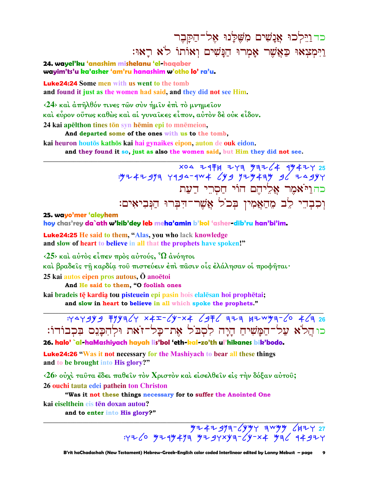# כד וַיֵּלְכוּ אֲנַשִׁים מִשֶּׁלַנוּ אָל־הַקַּבֶר וַיְּמְצְאוּ כַּאֲשֶׁר אַמְרוּ הַנַּשִׁים וְאוֹתוֹ לֹא רַאוּ:

### 24. wavel'ku 'anashim mishelanu 'el-haaaber wayim'ts'u ka'asher 'am'ru hanashim w'otho lo' ra'u.

**Luke24:24 Some men with us went to the tomb** and found it just as the women had said, and they did not see Him.

 $\langle 24 \rangle$  και άπήλθόν τινες των συν ήμιν έπι το μνημείον καὶ εὗρον οὕτως καθὼς καὶ αἱ γυναῖκες εἶπον, αὐτὸν δὲ οὐκ εἶδον. 24 kai apelthon tines ton syn hemin epi to mnemeion,

And departed some of the ones with us to the tomb.

kai heuron houtos kathos kai hai gynaikes eipon, auton de ouk eidon.

and they found it so, just as also the women said, but Him they did not see.

xoa Z 177 47764 4974 4974 25<br>3yz4zgyz rael (Ygyzyti) 4wp-4459 7 כהולאמר אליהם הוי חסרי דעת וִכְבָדֵי לֵב מֵהַאֲמִין בִּכוֹל אֲשֶׁר־דִּבְּרוּ הַנִּבְיאִים:

25. wayo'mer 'aleyhem

hoy chas'rey da`ath w'kib'dey leb meha'amin b'kol 'asher-dib'ru han'bi'im.

Luke24:25 He said to them, "Alas, you who lack knowledge and slow of heart to believe in all that the prophets have spoken!"

 $\langle 25 \rangle$  και αυτός είπεν πρός αυτούς,  $\Omega$  ανόητοι

καὶ βραδεῖς τῆ καρδία τοῦ πιστεύειν ἐπὶ πᾶσιν οἷς ἐλάλησαν οἱ προφῆται·

25 kai autos eipen pros autous, O anoetoi

And He said to them, "O foolish ones

kai bradeis tē kardia tou pisteuein epi pasin hois elalēsan hoi prophētai; and slow in heart to believe in all which spoke the prophets."



26. halo' `al-haMashiyach hayah lis'bol 'eth-kal-zo'th ul'hikanes bik'bodo.

**Luke24:26 "Was it not necessary for the Mashiyach to bear all these things** and to be brought into His glory?"

<26> ούχι ταῦτα ἔδει παθεῖν τον Χριστον και είσελθεῖν είς την δόξαν αὐτοῦ; 26 ouchi tauta edei pathein ton Christon

"Was it not these things necessary for to suffer the Anointed One

kai eiselthein eis tēn doxan autou?

and to enter into His glory?"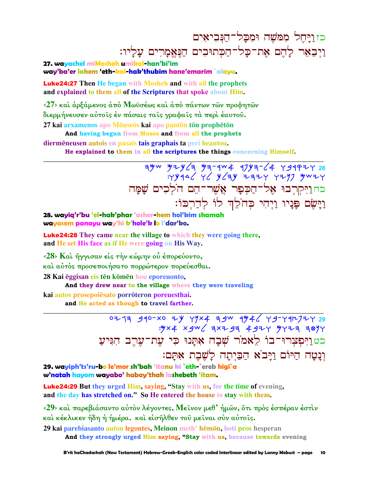## כזויחל ממשה ומכל־הנביאים וַיִּבְאֵר לַהֵם אַת־כַּל־הַכִּתוּבִים הַגָּאֵמַרִים עַלַיו:

27. wayachel miMosheh umikal-han'bi'im way'ba'er lahem 'eth-kal-hak'thubim hane'emarim `alayu.

**Luke24:27** Then He began with Mosheh and with all the prophets and explained to them all of the Scriptures that spoke about Him.

<27> και άρξάμενος άπό Μωϋσέως και άπό πάντων των προφητών διερμήνευσεν αύτοις έν πάσαις ταις γραφαις τα περί έαυτου. 27 kai arxamenos apo Mōuseōs kai apo pantōn tōn prophētōn

And having begun from Moses and from all the prophets

diermēneusen autois en pasais tais graphais ta peri heautou.

He explained to them in all the scriptures the things concerning Himself.

 $75\%$  34  $-4\%$  34  $-4\%$  34  $-4\%$  34  $-4\%$ <br>34  $-1\%$  34  $-1\%$  34  $-1\%$ כחוַיִּקְרִבוּ אֶל־הַכִּפָר אֲשֶׁר־הֶם הֹלְכִים שַׁמַּה וַיָּשֶׂם פַּנָיו וַיִחִי כִּחֹלֵךְ לוֹ לְדַרְכּוֹ:

28. wayig'r'bu 'el-hak'phar 'asher-hem hol'kim shamah wayasem panayu way'hi k'hole'k lo l'dar'ko.

**Luke24:28** They came near the village to which they were going there, and He set His face as if He were going on His Way.

<28> Και ήγγισαν είς την κώμην ού έπορεύοντο, και αύτος προσεποιήσατο πορρώτερον πορεύεσθαι. 28 Kai ēggisan eis tēn kōmēn hou eporeuonto,

And they drew near to the village where they were traveling

kai autos prosepoiesato porroteron poreuesthai.

and He acted as though to travel farther.

0713 440-X0 ZY YYX4 34W 444 Y4-Y41272Y 29  $.9x4$   $x9w$   $x793$   $497y$   $9779$  9897 כטוַיִפְצְרוּ־בוֹ לֵאמֹר שָׁבָה אָתֲנוּ כִּי עָת־עֲרֵב הִגִּיעַ וְנַטָה הַיּוֹם וַיַּבֹא הַבַּיִתַה לַשָּׁבֶת אִתַּם:

29. wayiph'ts'ru-bo le'mor sh'bah 'itanu ki `eth-`ereb higi`a w'natah hayom wayabo' habay'thah lashebeth 'itam.

**Luke24:29** But they urged Him, saying, "Stay with us, for the time of evening, and the day has stretched on." So He entered the house to stay with them.

<29> και παρεβιάσαντο αύτον λέγοντες, Μεΐνον μεθ' ήμων, ότι προς έσπέραν έστιν καὶ κέκλικεν ἤδη ἡ ἡμέρα, καὶ εἰσῆλθεν τοῦ μεῖναι σὺν αὐτοῖς,

29 kai parebiasanto auton legontes, Meinon meth' hēmōn, hoti pros hesperan And they strongly urged Him saying, "Stay with us, because towards evening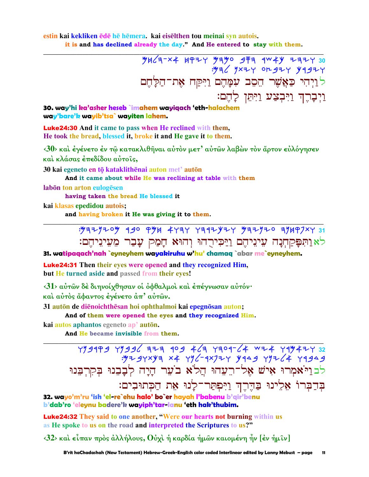estin kai kekliken ēdē hē hēmera. kai eisēlthen tou meinai syn autois. it is and has declined already the day." And He entered to stay with them.

לְוַיְהִי כַּאֲשֵׁר הֵסֵב עִפְהֶם וַיִּקַח אֶת־הַלָּהֶם וַיִּבָרְךָ וַיִּבְצַע וַיִּתְּן לָהֵם:

30. way'hi ka'asher heseb `imahem wayiqach 'eth-halachem way'bare'k wayib'tsa` wayiten lahem.

**Luke24:30** And it came to pass when He reclined with them, He took the bread, blessed it, broke it and He gave it to them.

<30> και έγένετο έν τῷ κατακλιθῆναι αὐτὸν μετ' αὐτῶν λαβὼν τὸν ἄρτον εὐλόγησεν και κλάσας έπεδίδου αυτοίς.

30 kai egeneto en tō kataklithēnai auton met' autōn

And it came about while He was reclining at table with them

labon ton arton eulogesen

having taken the bread He blessed it

kai klasas epedidou autois:

and having broken it He was giving it to them.

### $:$  "yazyzo y 490 PYH 4474 4744 yazyzy "yazyzo ayup7xy" לא וַתְּפַּקַחְנָה עִינִיהֵם וַיַּכִּירִהוּ וְהוּא חַמַק עַבָר מֵעֵינֵיהֵם:

31. watipagach'nah `eyneyhem wayakiruhu w'hu' chamag `abar me`eyneyhem.

**Luke24:31** Then their eyes were opened and they recognized Him, but He turned aside and passed from their eyes!

<31> αύτων δέ διηνοίχθησαν οι όφθαλμοι και επέγνωσαν αύτόν· και αύτος άφαντος έγένετο άπ' αύτων.

31 autōn de diēnoichthēsan hoi ophthalmoi kai epegnōsan auton;

And of them were opened the eyes and they recognized Him.

kai autos aphantos egeneto ap<sup>3</sup> auton.

And He became invisible from them.

79999 79996 7799 7469 7909-64 799477 32<br>344 344 4994 7944 7945-747 4× 7944 7944 לבויאמרו איש אל־ריעהו הלא בער היה לבבנו בקרבנו בְּדַבְּרוֹ אֶלֵינוּ בַּהֵרֵךְ וַיִּפְתַּר־לָנוּ אֶת הַכִּתוּבִים:

32. wayo'm'ru 'ish 'el-re`ehu halo' bo`er hayah l'babenu b'gir'benu b'dab'ro 'eleynu badere'k wayiph'tar-lanu 'eth hak'thubim.

**Luke24:32** They said to one another, "Were our hearts not burning within us as He spoke to us on the road and interpreted the Scriptures to us?"

 $\langle 32 \rangle$  και είπαν προς άλλήλους, Ουχι ή καρδία ήμων καιομένη ήν [έν ήμιν]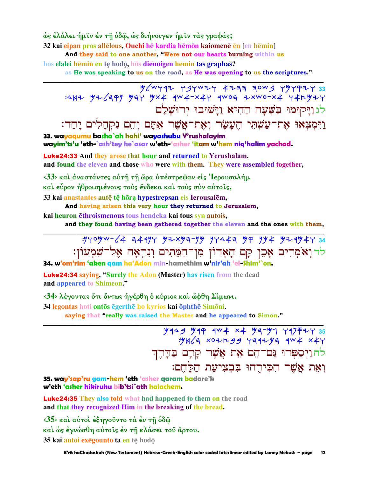ώς ἐλάλει ήμῖν ἐν τῆ ὁδῷ, ὡς διήνοιγεν ἡμῖν τὰς γραφάς;

32 kai eipan pros allēlous, Ouchi hē kardia hēmōn kaiomenē ēn [en hēmin]

And they said to one another, "Were not our hearts burning within us

hōs elalei hēmin en tē hodō, hōs diēnoigen hēmin tas graphas?

as He was speaking to us on the road, as He was opening to us the scriptures."

 $4/47$  +  $4/47$  +  $4/47$  +  $4/47$  +  $4/47$  +  $4/47$  +  $4/47$  +  $4/47$  +  $4/47$  +  $4/47$  +  $4/47$  +  $4/47$  +  $4/47$  +  $4/47$  +  $4/47$  +  $4/47$  +  $4/47$  +  $4/47$  +  $4/47$  +  $4/47$  +  $4/47$  +  $4/47$  +  $4/47$  +  $4/47$  +  $4/47$ :4HZ 476/99 494 4x4 4w4-x44 4w09 7xw0-x4 44r477 לגוַיַקוּמוּ בַּשָּׁעָה הַהִיא וַיַּשׁוּבוּ יִרוּשָׁלַָם

ַרַיִּמְצְאוּ אֶת־עַשְׁתֵּי הֶעָשָׂר וְאֶת־אֲשֶׁר אִתָּם וְהֵם נִקְהָלִים יָחַד:

33. wayaqumu basha`ah hahi' wayashubu Y'rushalayim wayim'ts'u 'eth-`ash'tey he`asar w'eth-'asher 'itam w'hem nig'halim yachad.

**Luke24:33** And they arose that hour and returned to Yerushalam, and found the eleven and those who were with them. They were assembled together,

<33> και άναστάντες αύτη τη ώρα υπέστρεψαν είς Ιερουσαλήμ καὶ εὗρον ἠθροισμένους τοὺς ἔνδεκα καὶ τοὺς σὺν αὐτοῖς,

33 kai anastantes autē tē hōra hypestrepsan eis Ierousalēm,

And having arisen this very hour they returned to Jerusalem,

kai heuron ēthroismenous tous hendeka kai tous syn autois,

and they found having been gathered together the eleven and the ones with them,



34. w'om'rim 'aken gam ha'Adon min-hamethim w'nir'ah 'el-Shim'`on.

**Luke24:34 saying, "Surely the Adon (Master) has risen from the dead** and appeared to Shimeon."

<34> λέγοντας ότι όντως ήγέρθη ο κύριος και ώφθη Σίμωνι.

34 legontas hoti ontos egerthe ho kyrios kai ophthe Simoni.

saying that "really was raised the Master and he appeared to Simon."

y 149 719 1w 4 x 4 7 7 7 7 7 7 7 7 7 7 3 5 : MH / 3 x 0 x 0 x 0 x 4 y 3 4 x 4 x 4 y להוַיְסַפְּרוּ גַּם־הֵם אֵת אֲשֶׁר קָרָם בַּדְרֶךְ ואת אַשר הכירהוּ בבציעת הלחם:

35. way'sap'ru gam-hem 'eth 'asher qaram badare'k w'eth 'asher hikiruhu bib'tsi`ath halachem.

**Luke24:35** They also told what had happened to them on the road and that they recognized Him in the breaking of the bread.

 $\langle 35 \rangle$  και αύτοι έξηγούντο τα έν τη όδω καὶ ὡς ἐγνώσθη αὐτοῖς ἐν τῆ κλάσει τοῦ ἄρτου. 35 kai autoi exegounto ta en te hodo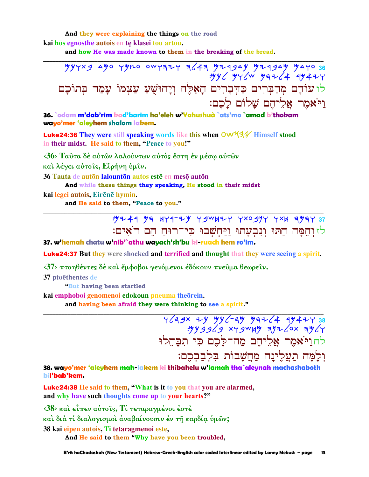And they were explaining the things on the road kai hōs egnōsthē autois en tē klasei tou artou.

and how He was made known to them in the breaking of the bread.

 $\frac{y y}{y}$  ayo yyno owyazy alam yiqay yiqay yayo 36 לו עוֹדָם מְדַבְּרִים כַּדִּבָרִים הָאֵלֵּה וְיָהוּשָׁעַ עַצִמוֹ עַמַד בִּתוֹכַם וַיֹּאמֶר אֱלֵיהֵם שֲׁלוֹם לכם:

36. `odam m'dab'rim kad'barim ha'eleh w'Yahushuà `ats'mo `amad b'thokam wavo'mer 'alevhem shalom lakem.

Luke24:36 They were still speaking words like this when OW534 Himself stood in their midst. He said to them, "Peace to you!"

<36> Ταύτα δέ αύτων λαλούντων αύτος έστη έν μέσω αύτων

και λέγει αύτοις, Ειρήνη ύμιν.

36 Tauta de autōn lalountōn autos estē en mesō autōn

And while these things they speaking, He stood in their midst kai legei autois, Eirēnē hymin.

and He said to them, "Peace to you."

לזוהמה חתו ונבעתו ויחשבו כי־רוּח הם רֹאים:

37. w'hemah chatu w'nib'`athu wayach'sh'bu ki-ruach hem ro'im.

**Luke24:37** But they were shocked and terrified and thought that they were seeing a spirit.

<37> πτοηθέντες δέ και έμφοβοι γενόμενοι έδόκουν πνεῦμα θεωρεῖν.

37 ptoēthentes de

"But having been startled

kai emphoboi genomenoi edokoun pneuma theorein.

and having been afraid they were thinking to see a spirit."

 $7639x 7y 7y6-3y 73764 9747738$ לחויאמר אליהם מה־לכם כי תבהלו וִלַמָּה תַעֲלֵינָה מַחֲשָׁבוֹת בִּלְבַבְבֶם:

38. wayo'mer 'aleyhem mah-lakem ki thibahelu w'lamah tha`aleynah machashaboth bil'bab'bem.

Luke24:38 He said to them, "What is it to you that you are alarmed, and why have such thoughts come up to your hearts?"

<38> και είπεν αύτοις, Τί τεταραγμένοι έστε και διά τί διαλογισμοι άναβαίνουσιν έν τη καρδία ύμων; 38 kai eipen autois. Ti tetaragmenoi este,

And He said to them "Why have you been troubled,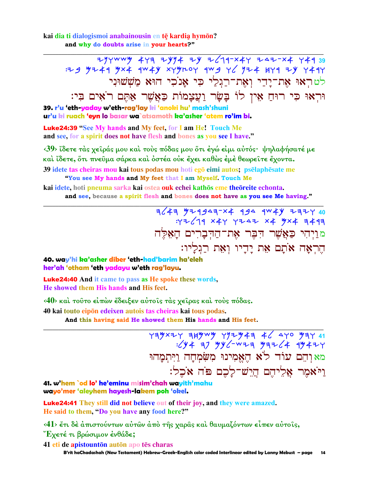kai dia ti dialogismoi anabainousin en tē kardia hymōn? and why do doubts arise in your hearts?"

לטראו את־יַדי ואת־רַגִלי כִּי אַנֹכִי הוּא מַשִׁשׁוּנִי וּרְאוּ כִּי רוּחַ אֵין לוֹ בַּשַׂר וַעֲצָמוֹת כַּאֲשֶׁר אַתָּם רֹאִים בִּי: 39. r'u 'eth-vaday w'eth-rag'lay ki 'anoki hu' mash'shuni

ur'u ki ruach 'eyn lo basar wa`atsamoth ka'asher 'atem ro'im bi.

**Luke24:39** "See My hands and My feet, for I am He! Touch Me and see, for a spirit does not have flesh and bones as you see I have."

<39> ίδετε τας χείράς μου και τους πόδας μου ότι έγώ είμι αυτός· ψηλαφήσατέ με καὶ ἴδετε, ὅτι πνεῦμα σάρκα καὶ ὀστέα οὐκ ἔχει καθὼς ἐμὲ θεωρεῖτε ἔχοντα.

39 idete tas cheiras mou kai tous podas mou hoti ego eimi autos; psēlaphēsate me "You see My hands and My feet that I am Myself. Touch Me

kaj idete, hoti pneuma sarka kaj ostea ouk echej kathos eme theoreite echonta. and see, because a spirit flesh and bones does not have as you see Me having."

> $7647$   $474947-x4$   $494$   $404$   $777$   $40$  $77/19$   $x4y$   $y747$   $x4$   $y x4$   $y x4$   $y49$ מוַיִהִי כַּאֲשֶׁר הִבֶּר אֶת־הַהִּבָרִים הָאֵלֶה הראה אתם את ידיו ואת רגליו:

### 40. way'hi ka'asher diber 'eth-had'barim ha'eleh her'ah 'otham 'eth yadayu w'eth rag'layu.

**Luke24:40** And it came to pass as He spoke these words, He showed them His hands and His feet.

 $\langle 40 \rangle$  και τούτο είπων έδειξεν αύτοις τας χειρας και τους πόδας.

40 kai touto eipon edeixen autois tas cheiras kai tous podas.

And this having said He showed them His hands and His feet.

 $733 x 27 314 y x 32 44 42 43 444 45 46 47 47 48 49 40 40 41 41 42 43 444 45 47 48 49 40 40 41 41 42 43 444 45 47 48 49 40 41 41 42 43 444 44 45 46 47 47 48 49 40 41 41 42 43 444 44 45 46 47 48 49 40 41 41 42 43 444 45 46 47$ מא והם עוד לֹא הֵאֵמִינוּ מִשְׂמִחָה וַיִּתְמָהוּ וַיֹּאמֶר אַלֵיהֵם הַיָּשׁ־לַכֶם פֹּה אֹכֶל:

41. w'hem `od lo' he'eminu misim'chah wayith'mahu wayo'mer 'aleyhem hayesh-lakem poh 'okel.

**Luke24:41** They still did not believe out of their joy, and they were amazed. He said to them, "Do you have any food here?"

 $(41)$  έτι δέ απιστούντων αύτων από της χαρας και θαυμαζόντων είπεν αύτοις, "Έχετέ τι βρώσιμον ἐνθάδε;

41 eti de apistounton auton apo tes charas B'rit haChadashah (New Testament) Hebrew-Greek-English color coded Interlinear edited by Lanny Mebust - page  $14$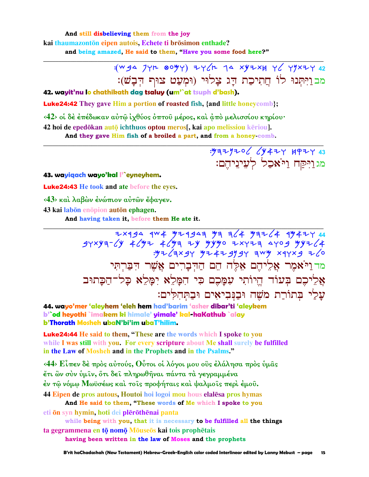And still disbelieving them from the joy kai thaumazontōn eipen autois. Echete ti brōsimon enthade? and being amazed, He said to them, "Have you some food here?"

> : (Wga Jyr 80My) Zy (r Ja xyzxy y (yyxzy 42 מבויִתְנוּ לוֹ חֲתִיכָת דֵג צַלוּי (וּמְעַט צוּף דִּבָשׁ):

> > $: 43779706$  (  $y + 749799943$

מג וַיִּקַח וַיֹּאָכָל לְעֵינֵיהֵם:

42. wayit'nu lo chathikath dag tsaluy (um'`at tsuph d'bash).

**Luke24:42** They gave Him a portion of roasted fish, {and little honeycomb};

<42> οι δέ έπέδωκαν αύτῶ ιχθύος όπτοῦ μέρος, και ἀπό μελισσίου κηρίου· 42 hoi de epedōkan autō ichthuos optou meros[, kai apo melissiou kēriou]. And they gave Him fish of a broiled a part, and from a honey comb.

43. wayigach wayo'kal l'`eyneyhem.

**Luke24:43** He took and ate before the eyes.

<43> και λαβών ένώπιον αύτων έφαγεν.

43 kai labon enopion auton ephagen.

And having taken it, before them He ate it.

 $.976$  explan wu zariyi ya katika ya katika ya katika ya katika ya katika ya katika ya katika ya katika ya katika ya k מה ויֹאמֶר אֱלֵיהֶם אֶלֶה הֶם הַדִּבְרִים אֱשֶׁר דִּבְרִתִּי אֲלִיכֵם בִּעוֹד הֵיוֹתִי עִמֲכֵם כִּי הִמַּלֵא יִמַּלֵא כָל־הַכַּתוּב עַלֵי בְּתוֹרֵת מֹשֶׁה וּבַנְּבִיאָים וּבַתְּהִלְים:

44. wayo'mer 'aleyhem 'eleh hem had'barim 'asher dibar'ti 'aleykem b'`od heyothi `imakem ki himale' yimale' kal-haKathub `alay b'Thorath Mosheh ubaN'bi'im ubaT'hilim.

**Luke24:44** He said to them, "These are the words which I spoke to you while I was still with you. For every scripture about Me shall surely be fulfilled in the Law of Mosheh and in the Prophets and in the Psalms."

<44> Είπεν δέ πρός αύτούς, Ούτοι οι λόγοι μου οΰς έλάλησα πρός υμας έτι ὢν σὺν ὑμῖν, ὅτι δεῖ πληρωθῆναι πάντα τὰ γεγραμμένα έν τῶ νόμφ Μωϋσέως καὶ τοῖς προφήταις καὶ ψαλμοῖς περὶ ἐμοῦ. 44 Eipen de pros autous, Houtoi hoi logoi mou hous elalesa pros hymas And He said to them, "These words of Me which I spoke to you eti ön syn hymin, hoti dei plērōthēnai panta while being with you, that it is necessary to be fulfilled all the things ta gegrammena en tō nomō Mōuseōs kai tois prophētais

having been written in the law of Moses and the prophets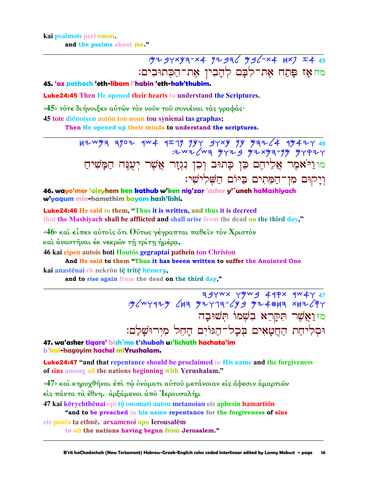מה אַז פַּתַח אֵת־לִבָּם לְהַבְין אֵת־הַכִּתוּבִים:

45. 'az pathach 'eth-libam l'habin 'eth-hak'thubim.

**Luke24:45** Then He opened their hearts to understand the Scriptures.

<45> τότε διήνοιξεν αύτων τον νουν του συνιέναι τας γραφάς·

45 tote dienoixen auton ton noun tou synienai tas graphas;

Then He opened up their minds to understand the scriptures.

HZWYA AYOZ 9W4 9IYY YYY YY YAAL 4947Y 46 מוּוַיֹּאמֶר אֲלֵיהֶם כֵּן כָתוּב וְכֵן נִגְזָר אֲשֶׁר יְעֻגָּה הַמָּשִׁיחַ וְיַקוּם מְן־הַמֶּתִים בַּיּוֹם הַשָּׁלְישִׁי:

46. wayo'mer 'aleyhem ken kathub w'ken nig'zar 'asher y'`uneh haMashiyach w'yaqum min-hamethim bayom hash'lishi.

Luke24:46 He said to them, "Thus it is written, and thus it is decreed that the Mashiyach shall be afflicted and shall arise from the dead on the third day,"

 $\langle 46 \rangle$  και είπεν αύτοις ότι θύτως γέγραπται παθειν τον Χριστον και άναστήναι έκ νεκρών τη τρίτη ήμέρα,

46 kai eipen autois hoti Houtos gegraptai pathein ton Christon

And He said to them "Thus it has beeen written to suffer the Anointed One kai anastēnai ek nekrōn tē tritē hēmerą,

and to rise again from the dead on the third day,"

394 x 494 444 x 444 47 מזוַאֲשֶׁר תִּקַרֶא בִשָּׁמוֹ תִּשׁוּבָה וּסְלִיחַת הַחֲטָאִים בְּכָל־הַגּוֹיִם הַחֵל מִיִרוּשַׁלַם:

47. wa'asher tiqare' bish'mo t'shubah us'lichath hachata'im b'kal-hagoyim hachel miYrushalam.

**Luke24:47** "and that repentance should be proclaimed in His name and the forgiveness of sins among all the nations beginning with Yerushalam."

<47> και κηρυχθήναι έπι τω ονόματι αύτου μετάνοιαν είς άφεσιν αμαρτιων είς πάντα τα έθνη. αρξάμενοι από Ιερουσαλήμ

47 kai kērychthēnai epi tō onomati autou metanoian eis aphesin hamartion

"and to be preached in his name repentance for the forgiveness of sins eis panta ta ethnē, arxamenoi apo Ierousalēm

to all the nations having begun from Jerusalem."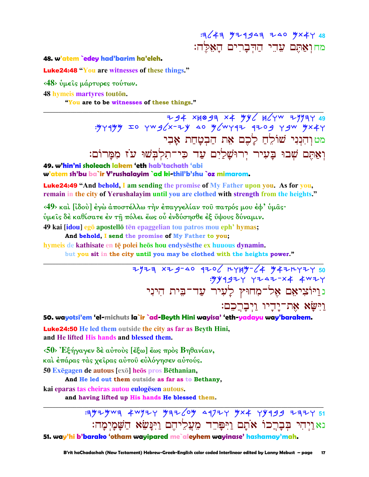$3647$   $474947$   $380$   $4847$   $48$ מחוְאַתֶּם עֵרֵי הַדִּבָרִים הַאַּלֵּה:

#### 48. w'atem `edey had'barim ha'eleh.

**Luke24:48 "You are witnesses of these things."** 

 $\langle 48 \rangle$  υμείς μάρτυρες τούτων.

48 hymeis martyres touton.

"You are to be witnesses of these things."

294 XHO97 X4 YY6 H64W 29777 49  $.94499$  IO YWg/x-ZY AO g/wyqz qzog ygw gx4y מטוהִדְנִנִי שׁוֹלֵחַ לַכֶם אֶת הַבְטַחַת אַבִי

וְאַתֵּם שִׁבוּ בַּעִיר יִרוּשַׁלַיִם עַד כִּי־תִלְבִּשׁוּ עֹז מִמַּרוֹם:

### 49. w'hin'ni sholeach lakem 'eth hab'tachath 'abi w'atem sh'bu ba`ir Y'rushalayim `ad ki-thil'b'shu `oz mimarom.

**Luke24:49** "And behold, I am sending the promise of My Father upon you. As for you, remain in the city of Yerushalayim until you are clothed with strength from the heights."

<49> και [ιδού] έγω αποστέλλω την επαγγελίαν του πατρός μου έφ' υμας· ύμεις δέ καθίσατε έν τη πόλει έως ού ένδύσησθε έξ ύψους δύναμιν.

49 kai [idou] ego apostello ten epaggelian tou patros mou eph' hymas;

And behold, I send the promise of My Father to you;

hymeis de kathisate en tē polei heos hou endysesthe ex huuous dynamin.

but you sit in the city until you may be clothed with the heights power."

2) 2) 22 3-40 420 6 2749-64 742 2727 50 נוַיוֹצִיאָם אֶל־מִחוּץ לָעִיר עַד־בֵּית הִינִי ַרִַּּשָׂא אֶת־יָדִיוּ רַיִּבָרֵכֶם:

50. wayotsi'em 'el-michuts la`ir `ad-Beyth Hini wayisa' 'eth-yadayu way'barakem.

**Luke24:50 He led them outside the city as far as Beyth Hini,** and He lifted His hands and blessed them.

 $\langle 50 \rangle$  Έξήγαγεν δέ αύτους [έξω] έως προς Βηθανίαν, και έπάρας τας χείρας αύτου ευλόγησεν αυτούς. 50 Exegagen de autous [exo] heos pros Bethanian,

And He led out them outside as far as to Bethany,

kai eparas tas cheiras autou eulogēs en autous.

and having lifted up His hands He blessed them.

 $73\frac{1}{10}$   $40\frac{1}{10}$   $40\frac{1}{10}$   $40\frac{1}{10}$   $40\frac{1}{10}$   $40\frac{1}{10}$   $40\frac{1}{10}$   $40\frac{1}{10}$   $40\frac{1}{10}$   $40\frac{1}{10}$   $40\frac{1}{10}$   $40\frac{1}{10}$   $40\frac{1}{10}$   $40\frac{1}{10}$   $40\frac{1}{10}$   $40\frac{1}{10}$   $40\frac{1}{10}$  נאַוַיִּהִי בִּבָרֵכוֹ אֹתָם וַיִּפָּרֵד מֵעֲלֵיהֵם וַיִּנַּשָׂא הַשָּׁמַיִמָה:

51. way'hi b'barako 'otham wayipared me`aleyhem wayinase' hashamay'mah.